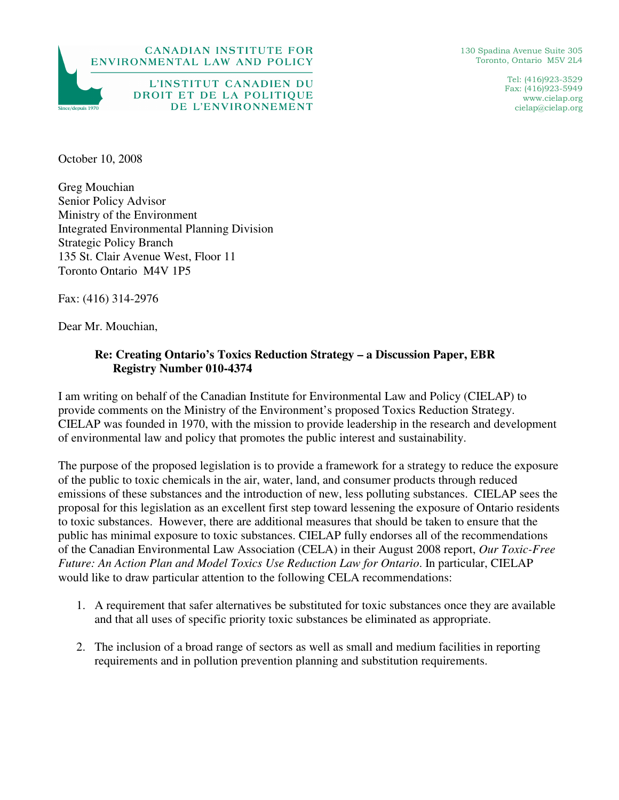



130 Spadina Avenue Suite 305 Toronto, Ontario M5V 2L4

> Tel: (416)923-3529 Fax: (416)923-5949 www.cielap.org cielap@cielap.org

October 10, 2008

Greg Mouchian Senior Policy Advisor Ministry of the Environment Integrated Environmental Planning Division Strategic Policy Branch 135 St. Clair Avenue West, Floor 11 Toronto Ontario M4V 1P5

Fax: (416) 314-2976

Dear Mr. Mouchian,

## **Re: Creating Ontario's Toxics Reduction Strategy – a Discussion Paper, EBR Registry Number 010-4374**

I am writing on behalf of the Canadian Institute for Environmental Law and Policy (CIELAP) to provide comments on the Ministry of the Environment's proposed Toxics Reduction Strategy. CIELAP was founded in 1970, with the mission to provide leadership in the research and development of environmental law and policy that promotes the public interest and sustainability.

The purpose of the proposed legislation is to provide a framework for a strategy to reduce the exposure of the public to toxic chemicals in the air, water, land, and consumer products through reduced emissions of these substances and the introduction of new, less polluting substances. CIELAP sees the proposal for this legislation as an excellent first step toward lessening the exposure of Ontario residents to toxic substances. However, there are additional measures that should be taken to ensure that the public has minimal exposure to toxic substances. CIELAP fully endorses all of the recommendations of the Canadian Environmental Law Association (CELA) in their August 2008 report, *Our Toxic-Free Future: An Action Plan and Model Toxics Use Reduction Law for Ontario*. In particular, CIELAP would like to draw particular attention to the following CELA recommendations:

- 1. A requirement that safer alternatives be substituted for toxic substances once they are available and that all uses of specific priority toxic substances be eliminated as appropriate.
- 2. The inclusion of a broad range of sectors as well as small and medium facilities in reporting requirements and in pollution prevention planning and substitution requirements.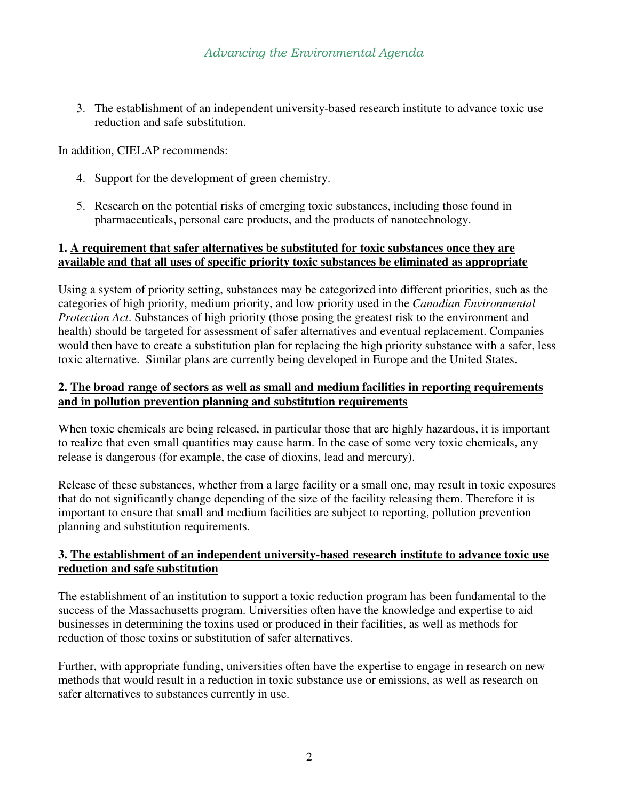3. The establishment of an independent university-based research institute to advance toxic use reduction and safe substitution.

In addition, CIELAP recommends:

- 4. Support for the development of green chemistry.
- 5. Research on the potential risks of emerging toxic substances, including those found in pharmaceuticals, personal care products, and the products of nanotechnology.

### **1. A requirement that safer alternatives be substituted for toxic substances once they are available and that all uses of specific priority toxic substances be eliminated as appropriate**

Using a system of priority setting, substances may be categorized into different priorities, such as the categories of high priority, medium priority, and low priority used in the *Canadian Environmental Protection Act*. Substances of high priority (those posing the greatest risk to the environment and health) should be targeted for assessment of safer alternatives and eventual replacement. Companies would then have to create a substitution plan for replacing the high priority substance with a safer, less toxic alternative. Similar plans are currently being developed in Europe and the United States.

### **2. The broad range of sectors as well as small and medium facilities in reporting requirements and in pollution prevention planning and substitution requirements**

When toxic chemicals are being released, in particular those that are highly hazardous, it is important to realize that even small quantities may cause harm. In the case of some very toxic chemicals, any release is dangerous (for example, the case of dioxins, lead and mercury).

Release of these substances, whether from a large facility or a small one, may result in toxic exposures that do not significantly change depending of the size of the facility releasing them. Therefore it is important to ensure that small and medium facilities are subject to reporting, pollution prevention planning and substitution requirements.

# **3. The establishment of an independent university-based research institute to advance toxic use reduction and safe substitution**

The establishment of an institution to support a toxic reduction program has been fundamental to the success of the Massachusetts program. Universities often have the knowledge and expertise to aid businesses in determining the toxins used or produced in their facilities, as well as methods for reduction of those toxins or substitution of safer alternatives.

Further, with appropriate funding, universities often have the expertise to engage in research on new methods that would result in a reduction in toxic substance use or emissions, as well as research on safer alternatives to substances currently in use.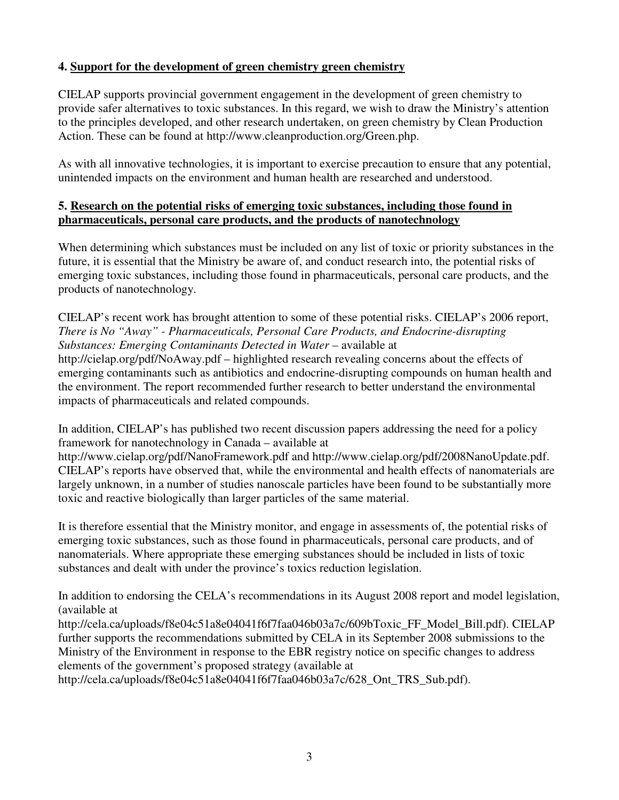# **4. Support for the development of green chemistry green chemistry**

CIELAP supports provincial government engagement in the development of green chemistry to provide safer alternatives to toxic substances. In this regard, we wish to draw the Ministry's attention to the principles developed, and other research undertaken, on green chemistry by Clean Production Action. These can be found at http://www.cleanproduction.org/Green.php.

As with all innovative technologies, it is important to exercise precaution to ensure that any potential, unintended impacts on the environment and human health are researched and understood.

## **5. Research on the potential risks of emerging toxic substances, including those found in pharmaceuticals, personal care products, and the products of nanotechnology**

When determining which substances must be included on any list of toxic or priority substances in the future, it is essential that the Ministry be aware of, and conduct research into, the potential risks of emerging toxic substances, including those found in pharmaceuticals, personal care products, and the products of nanotechnology.

CIELAP's recent work has brought attention to some of these potential risks. CIELAP's 2006 report, *There is No "Away" - Pharmaceuticals, Personal Care Products, and Endocrine-disrupting Substances: Emerging Contaminants Detected in Water* – available at http://cielap.org/pdf/NoAway.pdf – highlighted research revealing concerns about the effects of emerging contaminants such as antibiotics and endocrine-disrupting compounds on human health and the environment. The report recommended further research to better understand the environmental impacts of pharmaceuticals and related compounds.

In addition, CIELAP's has published two recent discussion papers addressing the need for a policy framework for nanotechnology in Canada – available at

http://www.cielap.org/pdf/NanoFramework.pdf and http://www.cielap.org/pdf/2008NanoUpdate.pdf. CIELAP's reports have observed that, while the environmental and health effects of nanomaterials are largely unknown, in a number of studies nanoscale particles have been found to be substantially more toxic and reactive biologically than larger particles of the same material.

It is therefore essential that the Ministry monitor, and engage in assessments of, the potential risks of emerging toxic substances, such as those found in pharmaceuticals, personal care products, and of nanomaterials. Where appropriate these emerging substances should be included in lists of toxic substances and dealt with under the province's toxics reduction legislation.

In addition to endorsing the CELA's recommendations in its August 2008 report and model legislation, (available at

http://cela.ca/uploads/f8e04c51a8e04041f6f7faa046b03a7c/609bToxic\_FF\_Model\_Bill.pdf). CIELAP further supports the recommendations submitted by CELA in its September 2008 submissions to the Ministry of the Environment in response to the EBR registry notice on specific changes to address elements of the government's proposed strategy (available at

http://cela.ca/uploads/f8e04c51a8e04041f6f7faa046b03a7c/628\_Ont\_TRS\_Sub.pdf).